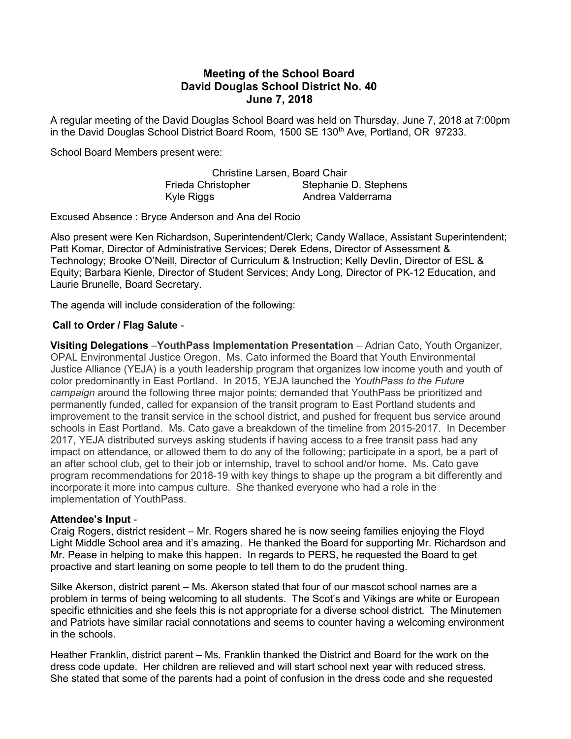# Meeting of the School Board David Douglas School District No. 40 June 7, 2018

A regular meeting of the David Douglas School Board was held on Thursday, June 7, 2018 at 7:00pm in the David Douglas School District Board Room, 1500 SE 130<sup>th</sup> Ave, Portland, OR 97233.

School Board Members present were:

Christine Larsen, Board Chair Frieda Christopher Stephanie D. Stephens Kyle Riggs **Andrea Valderrama** 

Excused Absence : Bryce Anderson and Ana del Rocio

Also present were Ken Richardson, Superintendent/Clerk; Candy Wallace, Assistant Superintendent; Patt Komar, Director of Administrative Services; Derek Edens, Director of Assessment & Technology; Brooke O'Neill, Director of Curriculum & Instruction; Kelly Devlin, Director of ESL & Equity; Barbara Kienle, Director of Student Services; Andy Long, Director of PK-12 Education, and Laurie Brunelle, Board Secretary.

The agenda will include consideration of the following:

# Call to Order / Flag Salute -

Visiting Delegations –YouthPass Implementation Presentation – Adrian Cato, Youth Organizer, OPAL Environmental Justice Oregon. Ms. Cato informed the Board that Youth Environmental Justice Alliance (YEJA) is a youth leadership program that organizes low income youth and youth of color predominantly in East Portland. In 2015, YEJA launched the YouthPass to the Future campaign around the following three major points; demanded that YouthPass be prioritized and permanently funded, called for expansion of the transit program to East Portland students and improvement to the transit service in the school district, and pushed for frequent bus service around schools in East Portland. Ms. Cato gave a breakdown of the timeline from 2015-2017. In December 2017, YEJA distributed surveys asking students if having access to a free transit pass had any impact on attendance, or allowed them to do any of the following; participate in a sport, be a part of an after school club, get to their job or internship, travel to school and/or home. Ms. Cato gave program recommendations for 2018-19 with key things to shape up the program a bit differently and incorporate it more into campus culture. She thanked everyone who had a role in the implementation of YouthPass.

### Attendee's Input -

Craig Rogers, district resident – Mr. Rogers shared he is now seeing families enjoying the Floyd Light Middle School area and it's amazing. He thanked the Board for supporting Mr. Richardson and Mr. Pease in helping to make this happen. In regards to PERS, he requested the Board to get proactive and start leaning on some people to tell them to do the prudent thing.

Silke Akerson, district parent – Ms. Akerson stated that four of our mascot school names are a problem in terms of being welcoming to all students. The Scot's and Vikings are white or European specific ethnicities and she feels this is not appropriate for a diverse school district. The Minutemen and Patriots have similar racial connotations and seems to counter having a welcoming environment in the schools.

Heather Franklin, district parent – Ms. Franklin thanked the District and Board for the work on the dress code update. Her children are relieved and will start school next year with reduced stress. She stated that some of the parents had a point of confusion in the dress code and she requested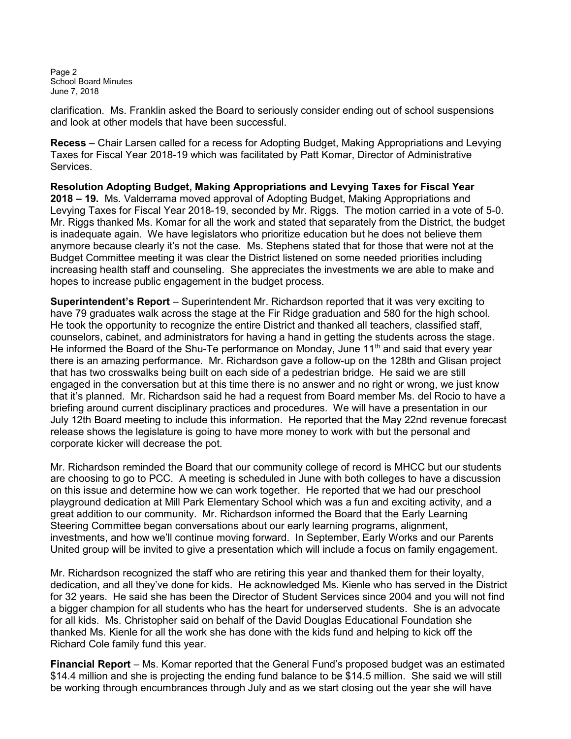Page 2 School Board Minutes June 7, 2018

clarification. Ms. Franklin asked the Board to seriously consider ending out of school suspensions and look at other models that have been successful.

Recess – Chair Larsen called for a recess for Adopting Budget, Making Appropriations and Levying Taxes for Fiscal Year 2018-19 which was facilitated by Patt Komar, Director of Administrative Services.

Resolution Adopting Budget, Making Appropriations and Levying Taxes for Fiscal Year 2018 – 19. Ms. Valderrama moved approval of Adopting Budget, Making Appropriations and Levying Taxes for Fiscal Year 2018-19, seconded by Mr. Riggs. The motion carried in a vote of 5-0. Mr. Riggs thanked Ms. Komar for all the work and stated that separately from the District, the budget is inadequate again. We have legislators who prioritize education but he does not believe them anymore because clearly it's not the case. Ms. Stephens stated that for those that were not at the Budget Committee meeting it was clear the District listened on some needed priorities including increasing health staff and counseling. She appreciates the investments we are able to make and hopes to increase public engagement in the budget process.

Superintendent's Report – Superintendent Mr. Richardson reported that it was very exciting to have 79 graduates walk across the stage at the Fir Ridge graduation and 580 for the high school. He took the opportunity to recognize the entire District and thanked all teachers, classified staff, counselors, cabinet, and administrators for having a hand in getting the students across the stage. He informed the Board of the Shu-Te performance on Monday, June 11<sup>th</sup> and said that every year there is an amazing performance. Mr. Richardson gave a follow-up on the 128th and Glisan project that has two crosswalks being built on each side of a pedestrian bridge. He said we are still engaged in the conversation but at this time there is no answer and no right or wrong, we just know that it's planned. Mr. Richardson said he had a request from Board member Ms. del Rocio to have a briefing around current disciplinary practices and procedures. We will have a presentation in our July 12th Board meeting to include this information. He reported that the May 22nd revenue forecast release shows the legislature is going to have more money to work with but the personal and corporate kicker will decrease the pot.

Mr. Richardson reminded the Board that our community college of record is MHCC but our students are choosing to go to PCC. A meeting is scheduled in June with both colleges to have a discussion on this issue and determine how we can work together. He reported that we had our preschool playground dedication at Mill Park Elementary School which was a fun and exciting activity, and a great addition to our community. Mr. Richardson informed the Board that the Early Learning Steering Committee began conversations about our early learning programs, alignment, investments, and how we'll continue moving forward. In September, Early Works and our Parents United group will be invited to give a presentation which will include a focus on family engagement.

Mr. Richardson recognized the staff who are retiring this year and thanked them for their loyalty, dedication, and all they've done for kids. He acknowledged Ms. Kienle who has served in the District for 32 years. He said she has been the Director of Student Services since 2004 and you will not find a bigger champion for all students who has the heart for underserved students. She is an advocate for all kids. Ms. Christopher said on behalf of the David Douglas Educational Foundation she thanked Ms. Kienle for all the work she has done with the kids fund and helping to kick off the Richard Cole family fund this year.

Financial Report – Ms. Komar reported that the General Fund's proposed budget was an estimated \$14.4 million and she is projecting the ending fund balance to be \$14.5 million. She said we will still be working through encumbrances through July and as we start closing out the year she will have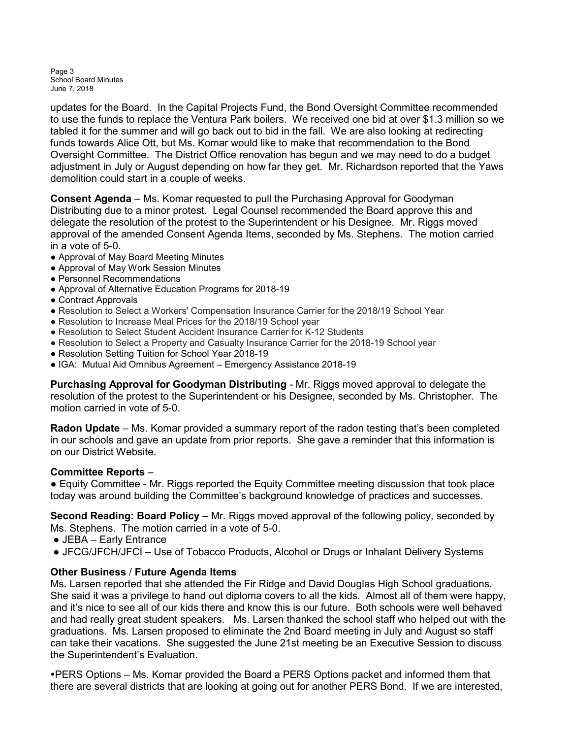Page 3 School Board Minutes June 7, 2018

updates for the Board. In the Capital Projects Fund, the Bond Oversight Committee recommended to use the funds to replace the Ventura Park boilers. We received one bid at over \$1.3 million so we tabled it for the summer and will go back out to bid in the fall. We are also looking at redirecting funds towards Alice Ott, but Ms. Komar would like to make that recommendation to the Bond Oversight Committee. The District Office renovation has begun and we may need to do a budget adjustment in July or August depending on how far they get. Mr. Richardson reported that the Yaws demolition could start in a couple of weeks.

Consent Agenda – Ms. Komar requested to pull the Purchasing Approval for Goodyman Distributing due to a minor protest. Legal Counsel recommended the Board approve this and delegate the resolution of the protest to the Superintendent or his Designee. Mr. Riggs moved approval of the amended Consent Agenda Items, seconded by Ms. Stephens. The motion carried in a vote of 5-0.

- Approval of May Board Meeting Minutes
- Approval of May Work Session Minutes
- Personnel Recommendations
- Approval of Alternative Education Programs for 2018-19
- Contract Approvals
- Resolution to Select a Workers' Compensation Insurance Carrier for the 2018/19 School Year
- Resolution to Increase Meal Prices for the 2018/19 School year
- Resolution to Select Student Accident Insurance Carrier for K-12 Students
- Resolution to Select a Property and Casualty Insurance Carrier for the 2018-19 School year
- Resolution Setting Tuition for School Year 2018-19
- IGA: Mutual Aid Omnibus Agreement Emergency Assistance 2018-19

Purchasing Approval for Goodyman Distributing - Mr. Riggs moved approval to delegate the resolution of the protest to the Superintendent or his Designee, seconded by Ms. Christopher. The motion carried in vote of 5-0.

Radon Update – Ms. Komar provided a summary report of the radon testing that's been completed in our schools and gave an update from prior reports. She gave a reminder that this information is on our District Website.

#### Committee Reports –

● Equity Committee - Mr. Riggs reported the Equity Committee meeting discussion that took place today was around building the Committee's background knowledge of practices and successes.

Second Reading: Board Policy – Mr. Riggs moved approval of the following policy, seconded by Ms. Stephens. The motion carried in a vote of 5-0.

- JEBA Early Entrance
- JFCG/JFCH/JFCI Use of Tobacco Products, Alcohol or Drugs or Inhalant Delivery Systems

#### Other Business / Future Agenda Items

Ms. Larsen reported that she attended the Fir Ridge and David Douglas High School graduations. She said it was a privilege to hand out diploma covers to all the kids. Almost all of them were happy, and it's nice to see all of our kids there and know this is our future. Both schools were well behaved and had really great student speakers. Ms. Larsen thanked the school staff who helped out with the graduations. Ms. Larsen proposed to eliminate the 2nd Board meeting in July and August so staff can take their vacations. She suggested the June 21st meeting be an Executive Session to discuss the Superintendent's Evaluation.

PERS Options – Ms. Komar provided the Board a PERS Options packet and informed them that there are several districts that are looking at going out for another PERS Bond. If we are interested,